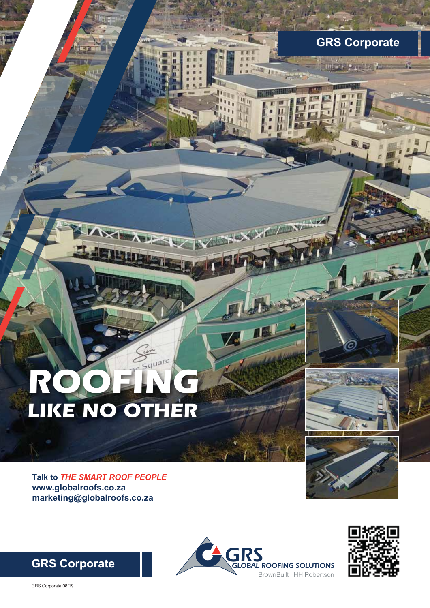# *ROOFING LIKE NO OTHER*



**GRS Corporate** 

**WEEPLAND** 

 $\leftarrow$ 

im.

**Talk to** *THE SMART ROOF PEOPLE* **www.globalroofs.co.za marketing@globalroofs.co.za**





**GRS Corporate** 

GRS Corporate 08/19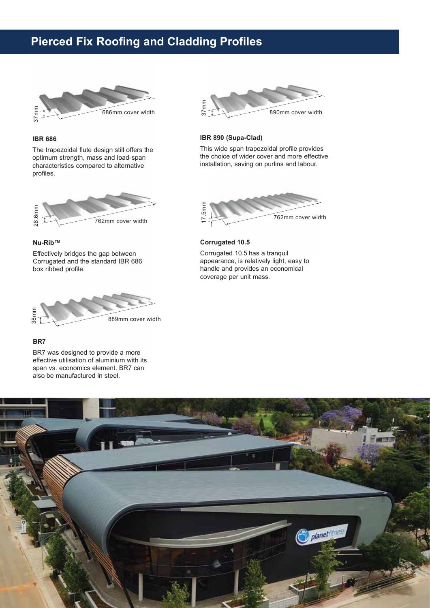# **Pierced Fix Roofing and Cladding Profiles**



# **IBR 686**

The trapezoidal flute design still offers the optimum strength, mass and load-span characteristics compared to alternative profiles.



#### **Nu-Rib™**

Effectively bridges the gap between Corrugated and the standard IBR 686 box ribbed profile.



## **BR7**

BR7 was designed to provide a more effective utilisation of aluminium with its span vs. economics element. BR7 can also be manufactured in steel.



## **IBR 890 (Supa-Clad)**

This wide span trapezoidal profile provides the choice of wider cover and more effective installation, saving on purlins and labour.



#### **Corrugated 10.5**

Corrugated 10.5 has a tranquil appearance, is relatively light, easy to handle and provides an economical coverage per unit mass.

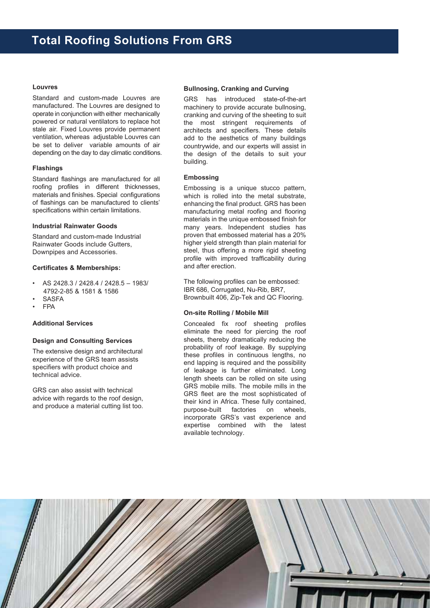#### **Louvres**

Standard and custom-made Louvres are manufactured. The Louvres are designed to operate in conjunction with either mechanically powered or natural ventilators to replace hot stale air. Fixed Louvres provide permanent ventilation, whereas adjustable Louvres can be set to deliver variable amounts of air depending on the day to day climatic conditions.

#### **Flashings**

Standard flashings are manufactured for all roofing profiles in different thicknesses, materials and finishes. Special configurations of flashings can be manufactured to clients' specifications within certain limitations.

#### **Industrial Rainwater Goods**

Standard and custom-made Industrial Rainwater Goods include Gutters, Downpipes and Accessories.

#### **Certificates & Memberships:**

- AS 2428.3 / 2428.4 / 2428.5 1983/ 4792-2-85 & 1581 & 1586
- **SASFA**
- FPA

## **Additional Services**

#### **Design and Consulting Services**

The extensive design and architectural experience of the GRS team assists specifiers with product choice and technical advice.

GRS can also assist with technical advice with regards to the roof design, and produce a material cutting list too.

#### **Bullnosing, Cranking and Curving**

GRS has introduced state-of-the-art machinery to provide accurate bullnosing, cranking and curving of the sheeting to suit the most stringent requirements of architects and specifiers. These details add to the aesthetics of many buildings countrywide, and our experts will assist in the design of the details to suit your building.

## **Embossing**

Embossing is a unique stucco pattern, which is rolled into the metal substrate, enhancing the final product. GRS has been manufacturing metal roofing and flooring materials in the unique embossed finish for many years. Independent studies has proven that embossed material has a 20% higher yield strength than plain material for steel, thus offering a more rigid sheeting profile with improved trafficability during and after erection.

The following profiles can be embossed: IBR 686, Corrugated, Nu-Rib, BR7, Brownbuilt 406, Zip-Tek and QC Flooring.

#### **On-site Rolling / Mobile Mill**

Concealed fix roof sheeting profiles eliminate the need for piercing the roof sheets, thereby dramatically reducing the probability of roof leakage. By supplying these profiles in continuous lengths, no end lapping is required and the possibility of leakage is further eliminated. Long length sheets can be rolled on site using GRS mobile mills. The mobile mills in the GRS fleet are the most sophisticated of their kind in Africa. These fully contained, purpose-built factories on wheels, incorporate GRS's vast experience and expertise combined with the latest available technology.